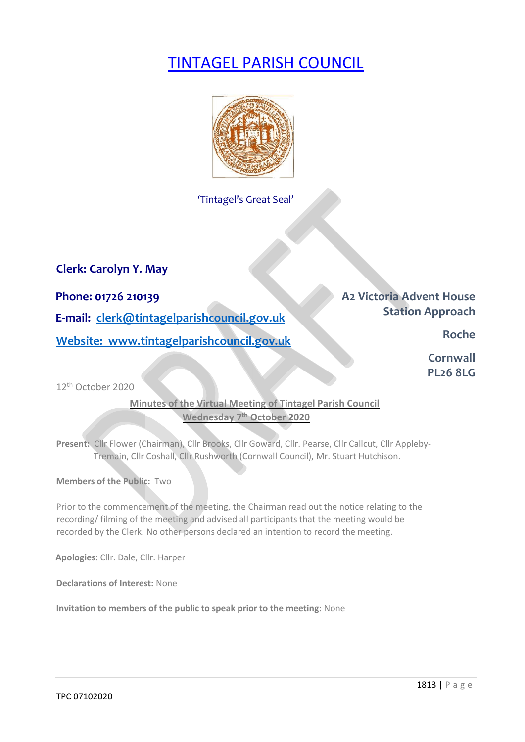# TINTAGEL PARISH COUNCIL



'Tintagel's Great Seal'

**Clerk: Carolyn Y. May** 

**Phone: 01726 210139 Phone: 01726 210139 E-mail: clerk@tintagelparishcouncil.gov.uk** *Station Approach* **Website:** www.tintagelparishcouncil.gov.uk **Roche Roche Roche** 

**Cornwall PL26 8LG** 

12th October 2020

### **Minutes of the Virtual Meeting of Tintagel Parish Council Wednesday 7th October 2020**

Present: Cllr Flower (Chairman), Cllr Brooks, Cllr Goward, Cllr. Pearse, Cllr Callcut, Cllr Appleby-Tremain, Cllr Coshall, Cllr Rushworth (Cornwall Council), Mr. Stuart Hutchison.

**Members of the Public:** Two

Prior to the commencement of the meeting, the Chairman read out the notice relating to the recording/ filming of the meeting and advised all participants that the meeting would be recorded by the Clerk. No other persons declared an intention to record the meeting.

**Apologies:** Cllr. Dale, Cllr. Harper

**Declarations of Interest:** None

**Invitation to members of the public to speak prior to the meeting:** None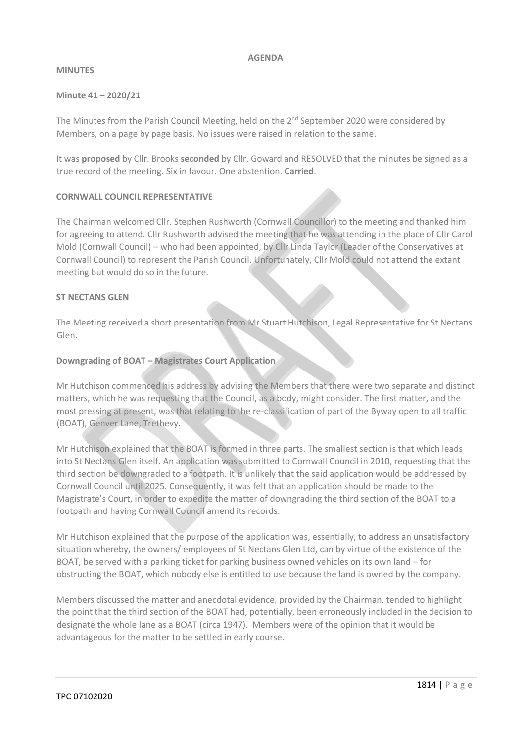#### **AGENDA**

#### **MINUTES**

#### **Minute 41 – 2020/21**

The Minutes from the Parish Council Meeting, held on the 2<sup>nd</sup> September 2020 were considered by Members, on a page by page basis. No issues were raised in relation to the same.

It was **proposed** by Cllr. Brooks **seconded** by Cllr. Goward and RESOLVED that the minutes be signed as a true record of the meeting. Six in favour. One abstention. **Carried**.

#### **CORNWALL COUNCIL REPRESENTATIVE**

The Chairman welcomed Cllr. Stephen Rushworth (Cornwall Councillor) to the meeting and thanked him for agreeing to attend. Cllr Rushworth advised the meeting that he was attending in the place of Cllr Carol Mold (Cornwall Council) – who had been appointed, by Cllr Linda Taylor (Leader of the Conservatives at Cornwall Council) to represent the Parish Council. Unfortunately, Cllr Mold could not attend the extant meeting but would do so in the future.

#### **ST NECTANS GLEN**

The Meeting received a short presentation from Mr Stuart Hutchison, Legal Representative for St Nectans Glen.

#### **Downgrading of BOAT – Magistrates Court Application**

Mr Hutchison commenced his address by advising the Members that there were two separate and distinct matters, which he was requesting that the Council, as a body, might consider. The first matter, and the most pressing at present, was that relating to the re-classification of part of the Byway open to all traffic (BOAT), Genver Lane, Trethevy.

Mr Hutchison explained that the BOAT is formed in three parts. The smallest section is that which leads into St Nectans Glen itself. An application was submitted to Cornwall Council in 2010, requesting that the third section be downgraded to a footpath. It is unlikely that the said application would be addressed by Cornwall Council until 2025. Consequently, it was felt that an application should be made to the Magistrate's Court, in order to expedite the matter of downgrading the third section of the BOAT to a footpath and having Cornwall Council amend its records.

Mr Hutchison explained that the purpose of the application was, essentially, to address an unsatisfactory situation whereby, the owners/ employees of St Nectans Glen Ltd, can by virtue of the existence of the BOAT, be served with a parking ticket for parking business owned vehicles on its own land – for obstructing the BOAT, which nobody else is entitled to use because the land is owned by the company.

Members discussed the matter and anecdotal evidence, provided by the Chairman, tended to highlight the point that the third section of the BOAT had, potentially, been erroneously included in the decision to designate the whole lane as a BOAT (circa 1947). Members were of the opinion that it would be advantageous for the matter to be settled in early course.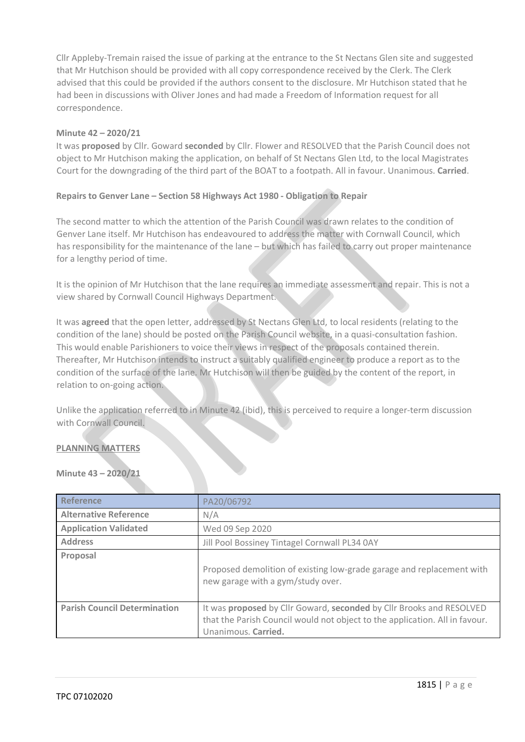Cllr Appleby-Tremain raised the issue of parking at the entrance to the St Nectans Glen site and suggested that Mr Hutchison should be provided with all copy correspondence received by the Clerk. The Clerk advised that this could be provided if the authors consent to the disclosure. Mr Hutchison stated that he had been in discussions with Oliver Jones and had made a Freedom of Information request for all correspondence.

#### **Minute 42 – 2020/21**

It was **proposed** by Cllr. Goward **seconded** by Cllr. Flower and RESOLVED that the Parish Council does not object to Mr Hutchison making the application, on behalf of St Nectans Glen Ltd, to the local Magistrates Court for the downgrading of the third part of the BOAT to a footpath. All in favour. Unanimous. **Carried**.

#### **Repairs to Genver Lane – Section 58 Highways Act 1980 - Obligation to Repair**

The second matter to which the attention of the Parish Council was drawn relates to the condition of Genver Lane itself. Mr Hutchison has endeavoured to address the matter with Cornwall Council, which has responsibility for the maintenance of the lane – but which has failed to carry out proper maintenance for a lengthy period of time.

It is the opinion of Mr Hutchison that the lane requires an immediate assessment and repair. This is not a view shared by Cornwall Council Highways Department.

It was **agreed** that the open letter, addressed by St Nectans Glen Ltd, to local residents (relating to the condition of the lane) should be posted on the Parish Council website, in a quasi-consultation fashion. This would enable Parishioners to voice their views in respect of the proposals contained therein. Thereafter, Mr Hutchison intends to instruct a suitably qualified engineer to produce a report as to the condition of the surface of the lane. Mr Hutchison will then be guided by the content of the report, in relation to on-going action.

Unlike the application referred to in Minute 42 (ibid), this is perceived to require a longer-term discussion with Cornwall Council.

#### **PLANNING MATTERS**

#### **Minute 43 – 2020/21**

| <b>Reference</b>                    | PA20/06792                                                                                                                                                                 |  |  |  |
|-------------------------------------|----------------------------------------------------------------------------------------------------------------------------------------------------------------------------|--|--|--|
| <b>Alternative Reference</b>        | N/A                                                                                                                                                                        |  |  |  |
| <b>Application Validated</b>        | Wed 09 Sep 2020                                                                                                                                                            |  |  |  |
| <b>Address</b>                      | Jill Pool Bossiney Tintagel Cornwall PL34 0AY                                                                                                                              |  |  |  |
| Proposal                            | Proposed demolition of existing low-grade garage and replacement with<br>new garage with a gym/study over.                                                                 |  |  |  |
| <b>Parish Council Determination</b> | It was proposed by Cllr Goward, seconded by Cllr Brooks and RESOLVED<br>that the Parish Council would not object to the application. All in favour.<br>Unanimous. Carried. |  |  |  |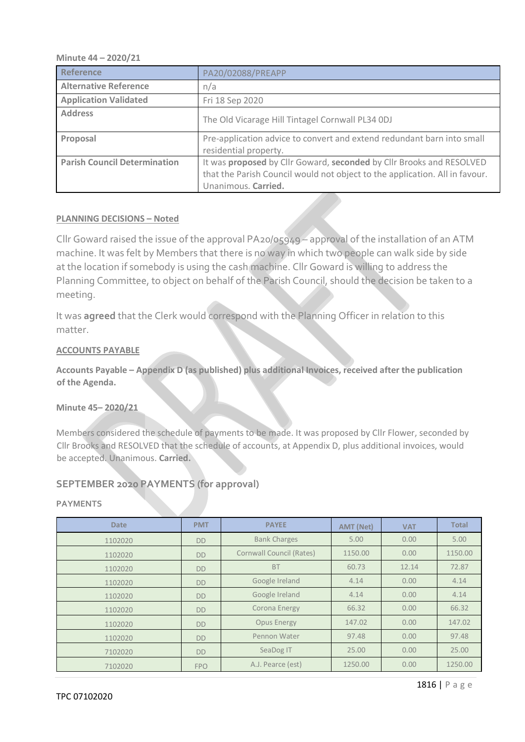#### **Minute 44 – 2020/21**

| Reference                           | PA20/02088/PREAPP                                                                                                                                                          |  |  |  |
|-------------------------------------|----------------------------------------------------------------------------------------------------------------------------------------------------------------------------|--|--|--|
| <b>Alternative Reference</b>        | n/a                                                                                                                                                                        |  |  |  |
| <b>Application Validated</b>        | Fri 18 Sep 2020                                                                                                                                                            |  |  |  |
| <b>Address</b>                      | The Old Vicarage Hill Tintagel Cornwall PL34 ODJ                                                                                                                           |  |  |  |
| Proposal                            | Pre-application advice to convert and extend redundant barn into small<br>residential property.                                                                            |  |  |  |
| <b>Parish Council Determination</b> | It was proposed by Cllr Goward, seconded by Cllr Brooks and RESOLVED<br>that the Parish Council would not object to the application. All in favour.<br>Unanimous. Carried. |  |  |  |

#### **PLANNING DECISIONS – Noted**

Cllr Goward raised the issue of the approval PA20/05949 – approval of the installation of an ATM machine. It was felt by Members that there is no way in which two people can walk side by side at the location if somebody is using the cash machine. Cllr Goward is willing to address the Planning Committee, to object on behalf of the Parish Council, should the decision be taken to a meeting.

It was **agreed** that the Clerk would correspond with the Planning Officer in relation to this matter.

#### **ACCOUNTS PAYABLE**

**Accounts Payable – Appendix D (as published) plus additional Invoices, received after the publication of the Agenda.**

#### **Minute 45– 2020/21**

Members considered the schedule of payments to be made. It was proposed by Cllr Flower, seconded by Cllr Brooks and RESOLVED that the schedule of accounts, at Appendix D, plus additional invoices, would be accepted. Unanimous. **Carried.**

#### **SEPTEMBER 2020 PAYMENTS (for approval)**

#### **PAYMENTS**

| <b>Date</b> | <b>PMT</b> | <b>PAYEE</b>             | <b>AMT (Net)</b> | <b>VAT</b> | <b>Total</b> |
|-------------|------------|--------------------------|------------------|------------|--------------|
| 1102020     | <b>DD</b>  | <b>Bank Charges</b>      | 5.00             | 0.00       | 5.00         |
| 1102020     | <b>DD</b>  | Cornwall Council (Rates) | 1150.00          | 0.00       | 1150.00      |
| 1102020     | <b>DD</b>  | <b>BT</b>                | 60.73            | 12.14      | 72.87        |
| 1102020     | <b>DD</b>  | Google Ireland           | 4.14             | 0.00       | 4.14         |
| 1102020     | <b>DD</b>  | Google Ireland           | 4.14             | 0.00       | 4.14         |
| 1102020     | <b>DD</b>  | Corona Energy            | 66.32            | 0.00       | 66.32        |
| 1102020     | <b>DD</b>  | <b>Opus Energy</b>       | 147.02           | 0.00       | 147.02       |
| 1102020     | <b>DD</b>  | Pennon Water             | 97.48            | 0.00       | 97.48        |
| 7102020     | <b>DD</b>  | SeaDog IT                | 25.00            | 0.00       | 25.00        |
| 7102020     | <b>FPO</b> | A.J. Pearce (est)        | 1250.00          | 0.00       | 1250.00      |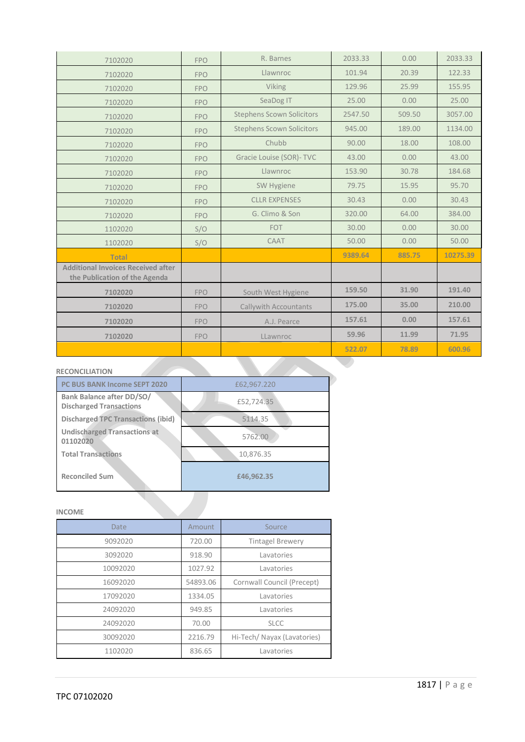| 7102020                                                                    | <b>FPO</b> | R. Barnes                        | 2033.33 | 0.00   | 2033.33  |
|----------------------------------------------------------------------------|------------|----------------------------------|---------|--------|----------|
| 7102020                                                                    | <b>FPO</b> | Llawnroc                         | 101.94  | 20.39  | 122.33   |
| 7102020                                                                    | <b>FPO</b> | Viking                           | 129.96  | 25.99  | 155.95   |
| 7102020                                                                    | <b>FPO</b> | SeaDog IT                        | 25.00   | 0.00   | 25.00    |
| 7102020                                                                    | <b>FPO</b> | <b>Stephens Scown Solicitors</b> | 2547.50 | 509.50 | 3057.00  |
| 7102020                                                                    | <b>FPO</b> | <b>Stephens Scown Solicitors</b> | 945.00  | 189.00 | 1134.00  |
| 7102020                                                                    | <b>FPO</b> | Chubb                            | 90.00   | 18.00  | 108.00   |
| 7102020                                                                    | <b>FPO</b> | Gracie Louise (SOR)- TVC         | 43.00   | 0.00   | 43.00    |
| 7102020                                                                    | <b>FPO</b> | Llawnroc                         | 153.90  | 30.78  | 184.68   |
| 7102020                                                                    | <b>FPO</b> | SW Hygiene                       | 79.75   | 15.95  | 95.70    |
| 7102020                                                                    | <b>FPO</b> | <b>CLLR EXPENSES</b>             | 30.43   | 0.00   | 30.43    |
| 7102020                                                                    | <b>FPO</b> | G. Climo & Son                   | 320.00  | 64.00  | 384.00   |
| 1102020                                                                    | S/O        | <b>FOT</b>                       | 30.00   | 0.00   | 30.00    |
| 1102020                                                                    | S/O        | CAAT                             | 50.00   | 0.00   | 50.00    |
| <b>Total</b>                                                               |            |                                  | 9389.64 | 885.75 | 10275.39 |
| <b>Additional Invoices Received after</b><br>the Publication of the Agenda |            |                                  |         |        |          |
| 7102020                                                                    | <b>FPO</b> | South West Hygiene               | 159.50  | 31.90  | 191.40   |
| 7102020                                                                    | <b>FPO</b> | <b>Callywith Accountants</b>     | 175.00  | 35.00  | 210.00   |
| 7102020                                                                    | <b>FPO</b> | A.J. Pearce                      | 157.61  | 0.00   | 157.61   |
| 7102020                                                                    | <b>FPO</b> | LLawnroc                         | 59.96   | 11.99  | 71.95    |
|                                                                            |            |                                  | 522.07  | 78.89  | 600.96   |
|                                                                            |            |                                  |         |        |          |

#### **RECONCILIATION**

| PC BUS BANK Income SEPT 2020                                       | £62,967.220 |
|--------------------------------------------------------------------|-------------|
| <b>Bank Balance after DD/SO/</b><br><b>Discharged Transactions</b> | £52,724.35  |
| Discharged TPC Transactions (ibid)                                 | 5114.35     |
| <b>Undischarged Transactions at</b><br>01102020                    | 5762.00     |
| <b>Total Transactions</b>                                          | 10,876.35   |
| <b>Reconciled Sum</b>                                              | £46,962.35  |

#### **INCOME**

| <b>Date</b> | Amount   | Source                      |
|-------------|----------|-----------------------------|
| 9092020     | 720.00   | <b>Tintagel Brewery</b>     |
| 3092020     | 918.90   | Lavatories                  |
| 10092020    | 1027.92  | Lavatories                  |
| 16092020    | 54893.06 | Cornwall Council (Precept)  |
| 17092020    | 1334.05  | Lavatories                  |
| 24092020    | 949.85   | Lavatories                  |
| 24092020    | 70.00    | <b>SLCC</b>                 |
| 30092020    | 2216.79  | Hi-Tech/ Nayax (Lavatories) |
| 1102020     | 836.65   | Lavatories                  |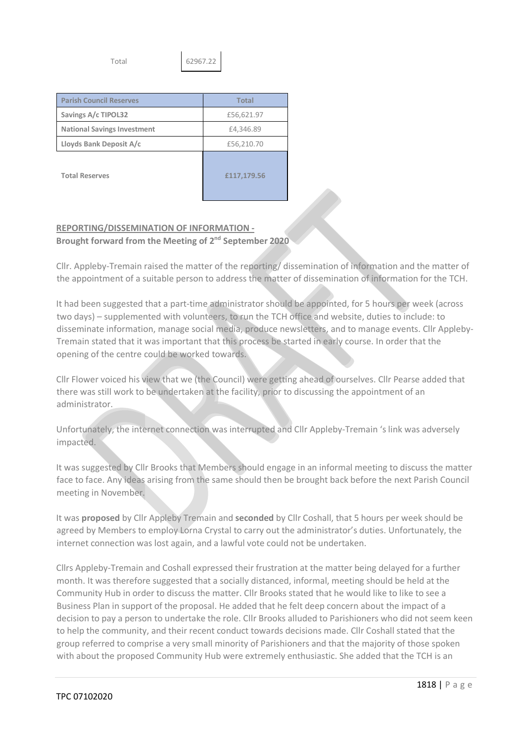Total 62967.22

| <b>Parish Council Reserves</b>     | Total       |  |  |
|------------------------------------|-------------|--|--|
| Savings A/c TIPOL32                | £56,621.97  |  |  |
| <b>National Savings Investment</b> | £4,346.89   |  |  |
| Lloyds Bank Deposit A/c            | £56,210.70  |  |  |
| <b>Total Reserves</b>              | £117,179.56 |  |  |

## **REPORTING/DISSEMINATION OF INFORMATION -**

**Brought forward from the Meeting of 2nd September 2020**

Cllr. Appleby-Tremain raised the matter of the reporting/ dissemination of information and the matter of the appointment of a suitable person to address the matter of dissemination of information for the TCH.

It had been suggested that a part-time administrator should be appointed, for 5 hours per week (across two days) – supplemented with volunteers, to run the TCH office and website, duties to include: to disseminate information, manage social media, produce newsletters, and to manage events. Cllr Appleby-Tremain stated that it was important that this process be started in early course. In order that the opening of the centre could be worked towards.

Cllr Flower voiced his view that we (the Council) were getting ahead of ourselves. Cllr Pearse added that there was still work to be undertaken at the facility, prior to discussing the appointment of an administrator.

Unfortunately, the internet connection was interrupted and Cllr Appleby-Tremain 's link was adversely impacted.

It was suggested by Cllr Brooks that Members should engage in an informal meeting to discuss the matter face to face. Any ideas arising from the same should then be brought back before the next Parish Council meeting in November.

It was **proposed** by Cllr Appleby Tremain and **seconded** by Cllr Coshall, that 5 hours per week should be agreed by Members to employ Lorna Crystal to carry out the administrator's duties. Unfortunately, the internet connection was lost again, and a lawful vote could not be undertaken.

Cllrs Appleby-Tremain and Coshall expressed their frustration at the matter being delayed for a further month. It was therefore suggested that a socially distanced, informal, meeting should be held at the Community Hub in order to discuss the matter. Cllr Brooks stated that he would like to like to see a Business Plan in support of the proposal. He added that he felt deep concern about the impact of a decision to pay a person to undertake the role. Cllr Brooks alluded to Parishioners who did not seem keen to help the community, and their recent conduct towards decisions made. Cllr Coshall stated that the group referred to comprise a very small minority of Parishioners and that the majority of those spoken with about the proposed Community Hub were extremely enthusiastic. She added that the TCH is an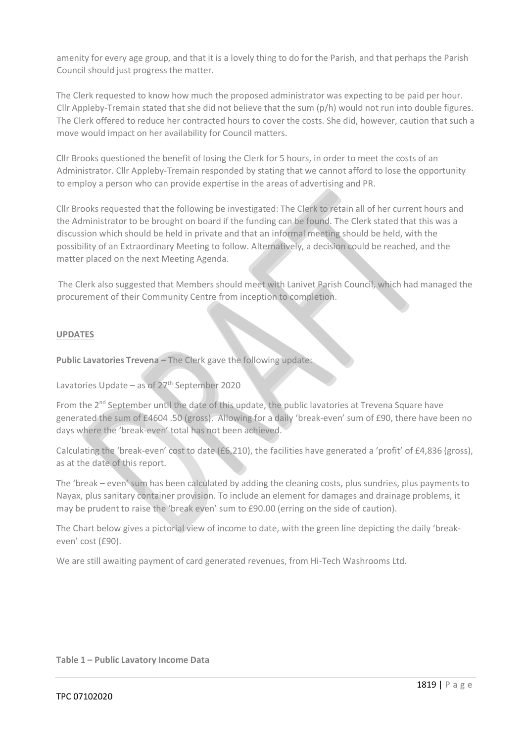amenity for every age group, and that it is a lovely thing to do for the Parish, and that perhaps the Parish Council should just progress the matter.

The Clerk requested to know how much the proposed administrator was expecting to be paid per hour. Cllr Appleby-Tremain stated that she did not believe that the sum (p/h) would not run into double figures. The Clerk offered to reduce her contracted hours to cover the costs. She did, however, caution that such a move would impact on her availability for Council matters.

Cllr Brooks questioned the benefit of losing the Clerk for 5 hours, in order to meet the costs of an Administrator. Cllr Appleby-Tremain responded by stating that we cannot afford to lose the opportunity to employ a person who can provide expertise in the areas of advertising and PR.

Cllr Brooks requested that the following be investigated: The Clerk to retain all of her current hours and the Administrator to be brought on board if the funding can be found. The Clerk stated that this was a discussion which should be held in private and that an informal meeting should be held, with the possibility of an Extraordinary Meeting to follow. Alternatively, a decision could be reached, and the matter placed on the next Meeting Agenda.

The Clerk also suggested that Members should meet with Lanivet Parish Council, which had managed the procurement of their Community Centre from inception to completion.

#### **UPDATES**

**Public Lavatories Trevena –** The Clerk gave the following update:

Lavatories Update – as of  $27<sup>th</sup>$  September 2020

From the 2<sup>nd</sup> September until the date of this update, the public lavatories at Trevena Square have generated the sum of £4604 .50 (gross). Allowing for a daily 'break-even' sum of £90, there have been no days where the 'break-even' total has not been achieved.

Calculating the 'break-even' cost to date (£6,210), the facilities have generated a 'profit' of £4,836 (gross), as at the date of this report.

The 'break – even' sum has been calculated by adding the cleaning costs, plus sundries, plus payments to Nayax, plus sanitary container provision. To include an element for damages and drainage problems, it may be prudent to raise the 'break even' sum to £90.00 (erring on the side of caution).

The Chart below gives a pictorial view of income to date, with the green line depicting the daily 'breakeven' cost (£90).

We are still awaiting payment of card generated revenues, from Hi-Tech Washrooms Ltd.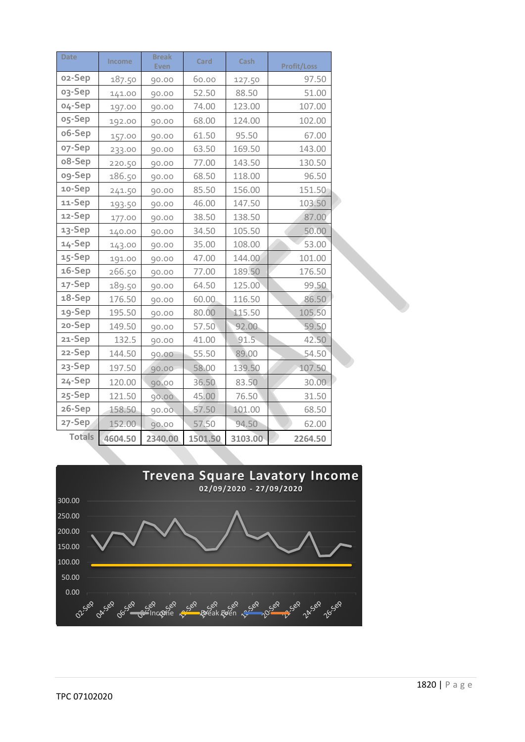| <b>Date</b>         | Income  | <b>Break</b><br><b>Even</b> | Card    | Cash    | <b>Profit/Loss</b> |
|---------------------|---------|-----------------------------|---------|---------|--------------------|
| o <sub>2</sub> -Sep | 187.50  | 90.00                       | 60.00   | 127.50  | 97.50              |
| 03-Sep              | 141.00  | 90.00                       | 52.50   | 88.50   | 51.00              |
| 04-Sep              | 197.00  | 90.00                       | 74.00   | 123.00  | 107.00             |
| o5-Sep              | 192.00  | 90.00                       | 68.00   | 124.00  | 102.00             |
| o6-Sep              | 157.00  | 90.00                       | 61.50   | 95.50   | 67.00              |
| o7-Sep              | 233.00  | 90.00                       | 63.50   | 169.50  | 143.00             |
| o8-Sep              | 220.50  | 90.00                       | 77.00   | 143.50  | 130.50             |
| og-Sep              | 186.50  | 90.00                       | 68.50   | 118.00  | 96.50              |
| 10-Sep              | 241.50  | 90.00                       | 85.50   | 156.00  | 151.50             |
| 11-Sep              | 193.50  | 90.00                       | 46.00   | 147.50  | 103.50             |
| 12-Sep              | 177.00  | 90.00                       | 38.50   | 138.50  | 87.00              |
| 13-Sep              | 140.00  | 90.00                       | 34.50   | 105.50  | 50.00              |
| 14-Sep              | 143.00  | 90.00                       | 35.00   | 108.00  | 53.00              |
| 15-Sep              | 191.00  | 90.00                       | 47.00   | 144.00  | 101.00             |
| 16-Sep              | 266.50  | 90.00                       | 77.00   | 189.50  | 176.50             |
| 17-Sep              | 189.50  | 90.00                       | 64.50   | 125.00  | 99.50              |
| 18-Sep              | 176.50  | 90.00                       | 60.00   | 116.50  | 86.50              |
| 19-Sep              | 195.50  | 90.00                       | 80.00   | 115.50  | 105.50             |
| 20-Sep              | 149.50  | 90.00                       | 57.50   | 92.00   | 59.50              |
| 21-Sep              | 132.5   | 90.00                       | 41.00   | 91.5    | 42.50              |
| 22-Sep              | 144.50  | 90.00                       | 55.50   | 89.00   | 54.50              |
| 23-Sep              | 197.50  | 90.00                       | 58.00   | 139.50  | 107.50             |
| 24-Sep              | 120.00  | 90.00                       | 36.50   | 83.50   | 30.00              |
| 25-Sep              | 121.50  | 90.00                       | 45.00   | 76.50   | 31.50              |
| 26-Sep              | 158.50  | 90.00                       | 57.50   | 101.00  | 68.50              |
| 27-Sep              | 152.00  | 90.00                       | 57.50   | 94.50   | 62.00              |
| <b>Totals</b>       | 4604.50 | 2340.00                     | 1501.50 | 3103.00 | 2264.50            |

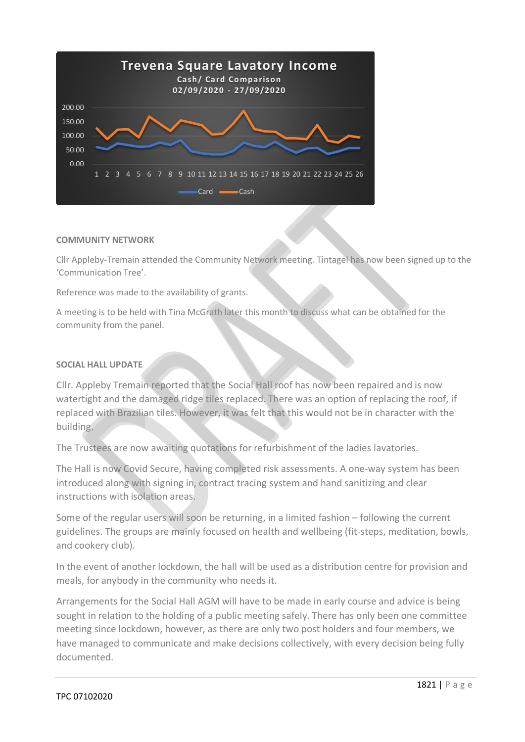

#### **COMMUNITY NETWORK**

Cllr Appleby-Tremain attended the Community Network meeting. Tintagel has now been signed up to the 'Communication Tree'.

Reference was made to the availability of grants.

A meeting is to be held with Tina McGrath later this month to discuss what can be obtained for the community from the panel.

#### **SOCIAL HALL UPDATE**

Cllr. Appleby Tremain reported that the Social Hall roof has now been repaired and is now watertight and the damaged ridge tiles replaced. There was an option of replacing the roof, if replaced with Brazilian tiles. However, it was felt that this would not be in character with the building.

The Trustees are now awaiting quotations for refurbishment of the ladies lavatories.

The Hall is now Covid Secure, having completed risk assessments. A one-way system has been introduced along with signing in, contract tracing system and hand sanitizing and clear instructions with isolation areas.

Some of the regular users will soon be returning, in a limited fashion – following the current guidelines. The groups are mainly focused on health and wellbeing (fit-steps, meditation, bowls, and cookery club).

In the event of another lockdown, the hall will be used as a distribution centre for provision and meals, for anybody in the community who needs it.

Arrangements for the Social Hall AGM will have to be made in early course and advice is being sought in relation to the holding of a public meeting safely. There has only been one committee meeting since lockdown, however, as there are only two post holders and four members, we have managed to communicate and make decisions collectively, with every decision being fully documented.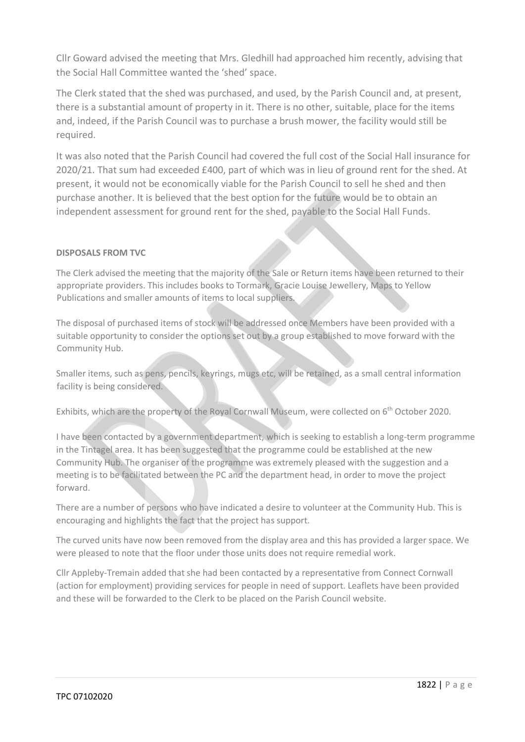Cllr Goward advised the meeting that Mrs. Gledhill had approached him recently, advising that the Social Hall Committee wanted the 'shed' space.

The Clerk stated that the shed was purchased, and used, by the Parish Council and, at present, there is a substantial amount of property in it. There is no other, suitable, place for the items and, indeed, if the Parish Council was to purchase a brush mower, the facility would still be required.

It was also noted that the Parish Council had covered the full cost of the Social Hall insurance for 2020/21. That sum had exceeded £400, part of which was in lieu of ground rent for the shed. At present, it would not be economically viable for the Parish Council to sell he shed and then purchase another. It is believed that the best option for the future would be to obtain an independent assessment for ground rent for the shed, payable to the Social Hall Funds.

#### **DISPOSALS FROM TVC**

The Clerk advised the meeting that the majority of the Sale or Return items have been returned to their appropriate providers. This includes books to Tormark, Gracie Louise Jewellery, Maps to Yellow Publications and smaller amounts of items to local suppliers.

The disposal of purchased items of stock will be addressed once Members have been provided with a suitable opportunity to consider the options set out by a group established to move forward with the Community Hub.

Smaller items, such as pens, pencils, keyrings, mugs etc, will be retained, as a small central information facility is being considered.

Exhibits, which are the property of the Royal Cornwall Museum, were collected on 6<sup>th</sup> October 2020.

I have been contacted by a government department, which is seeking to establish a long-term programme in the Tintagel area. It has been suggested that the programme could be established at the new Community Hub. The organiser of the programme was extremely pleased with the suggestion and a meeting is to be facilitated between the PC and the department head, in order to move the project forward.

There are a number of persons who have indicated a desire to volunteer at the Community Hub. This is encouraging and highlights the fact that the project has support.

The curved units have now been removed from the display area and this has provided a larger space. We were pleased to note that the floor under those units does not require remedial work.

Cllr Appleby-Tremain added that she had been contacted by a representative from Connect Cornwall (action for employment) providing services for people in need of support. Leaflets have been provided and these will be forwarded to the Clerk to be placed on the Parish Council website.